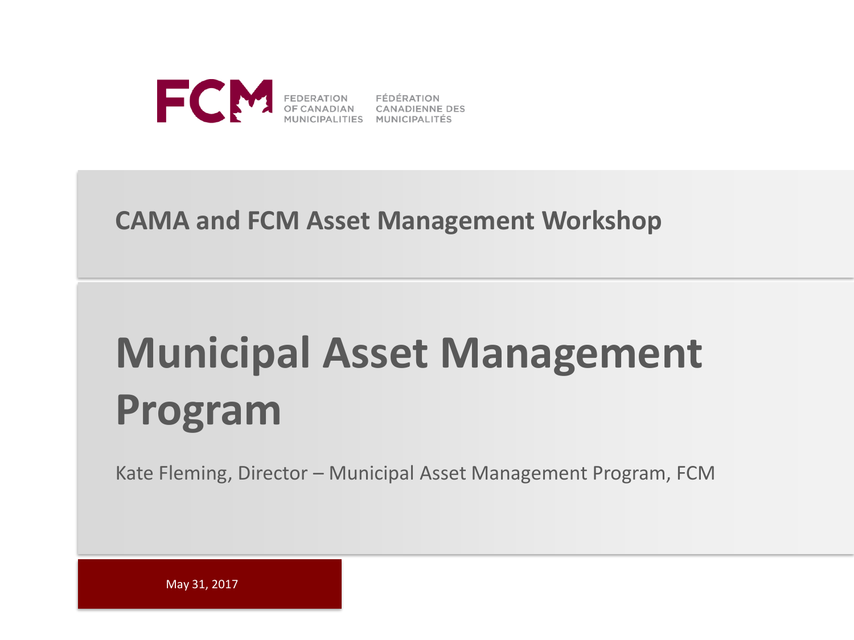

### **CAMA and FCM Asset Management Workshop**

# **Municipal Asset Management Program**

Kate Fleming, Director – Municipal Asset Management Program, FCM

May 31, 2017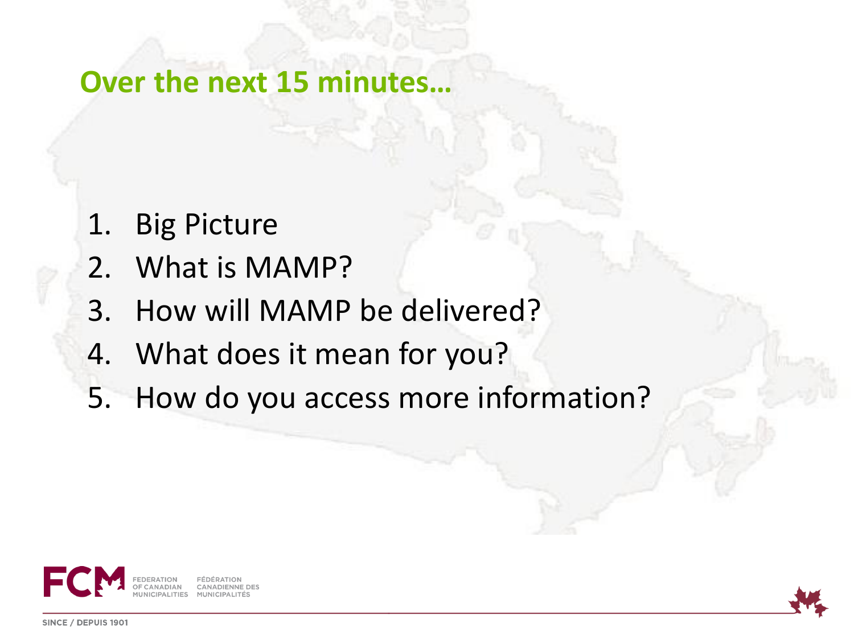**Over the next 15 minutes…**

- 1. Big Picture
- 2. What is MAMP?
- 3. How will MAMP be delivered?
- 4. What does it mean for you?
- 5. How do you access more information?



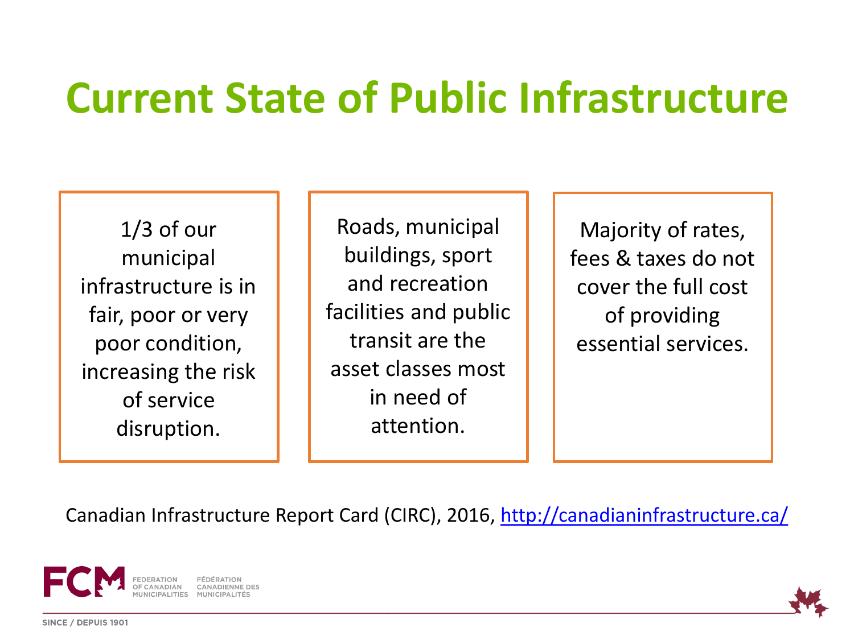# **Current State of Public Infrastructure**

1/3 of our municipal infrastructure is in fair, poor or very poor condition, increasing the risk of service disruption.

Roads, municipal buildings, sport and recreation facilities and public transit are the asset classes most in need of attention.

Majority of rates, fees & taxes do not cover the full cost of providing essential services.

Canadian Infrastructure Report Card (CIRC), 2016, <http://canadianinfrastructure.ca/>



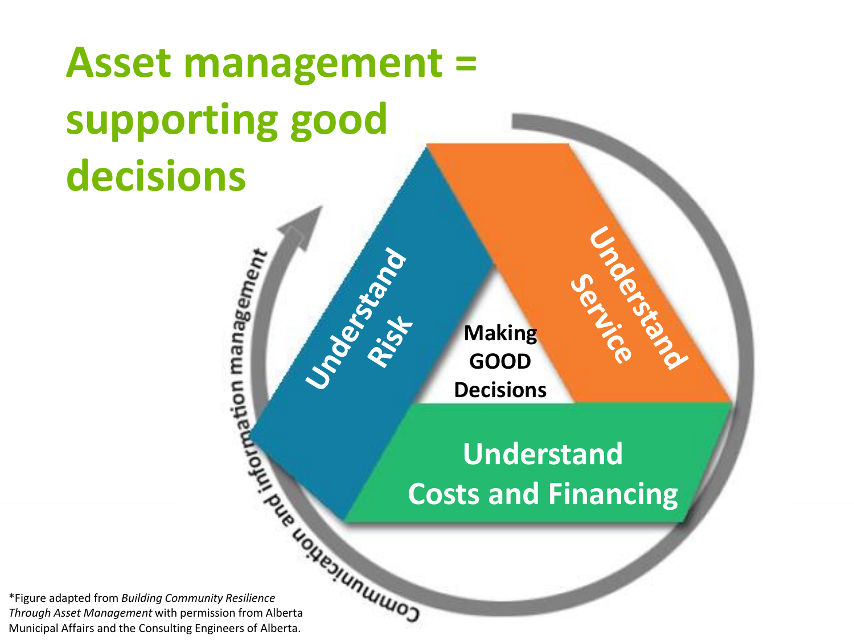# **Asset management = supporting good decisions**

**Making GOOD Understand Making Space 100 Decisions** 

# **Understand Constrained Costs and Financing**

\*Figure adapted from *Building Community Resilience Through Asset Management* with permission from Alberta Municipal Affairs and the Consulting Engineers of Alberta.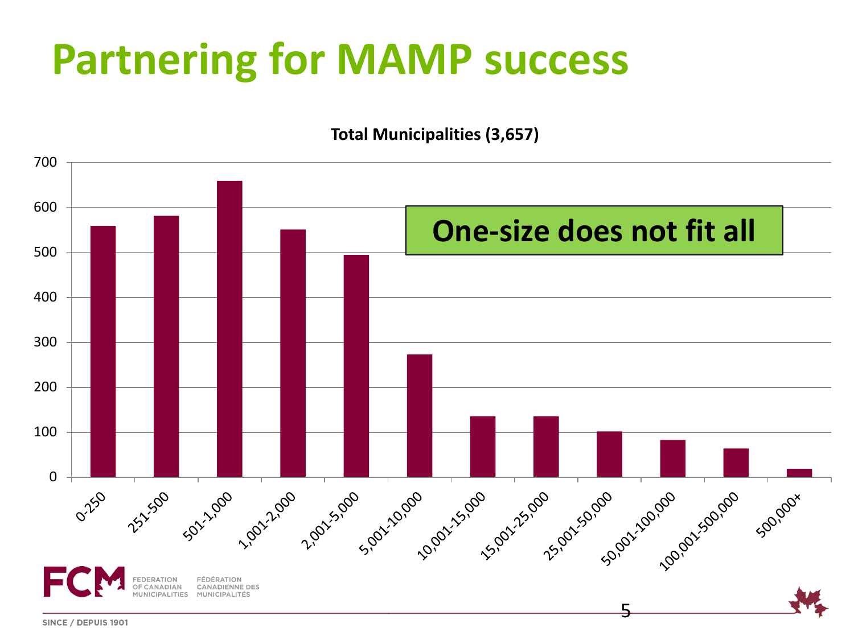# **Partnering for MAMP success**

**Total Municipalities (3,657)**



SINCE / DEPUIS 1901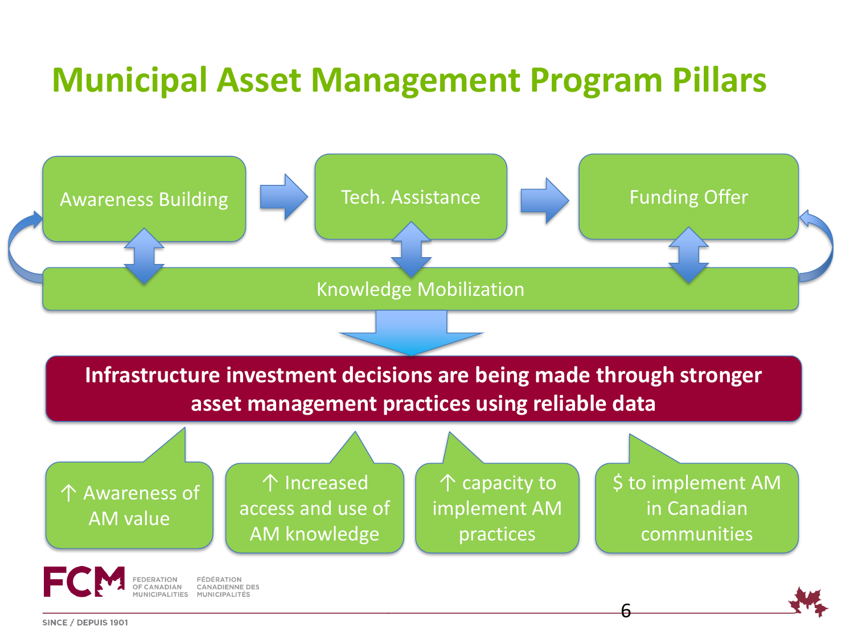## **Municipal Asset Management Program Pillars**



SINCE / DEPUIS 1901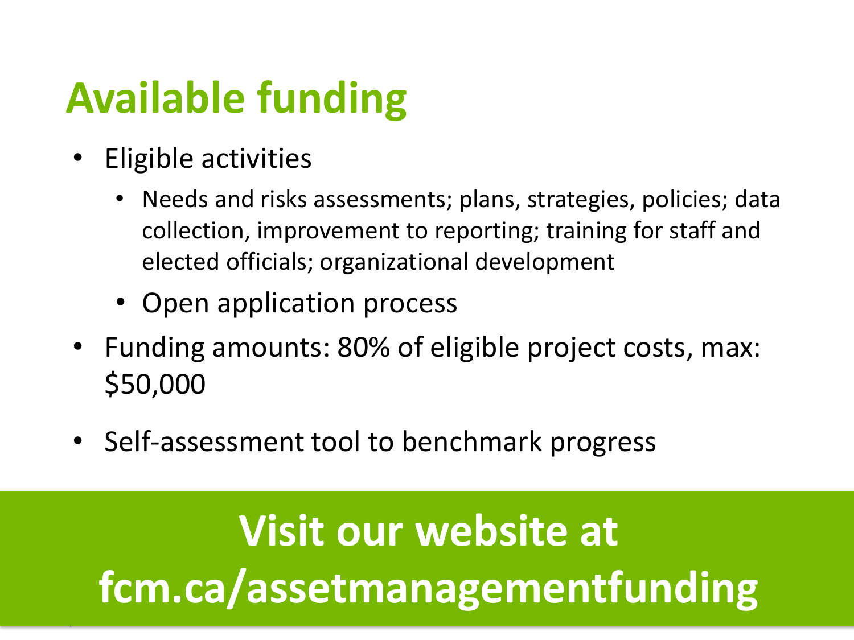# **Available funding**

- Eligible activities
	- Needs and risks assessments; plans, strategies, policies; data collection, improvement to reporting; training for staff and elected officials; organizational development
	- Open application process
- Funding amounts: 80% of eligible project costs, max: \$50,000
- Self-assessment tool to benchmark progress

**Visit our website at fcm.ca/assetmanagementfunding**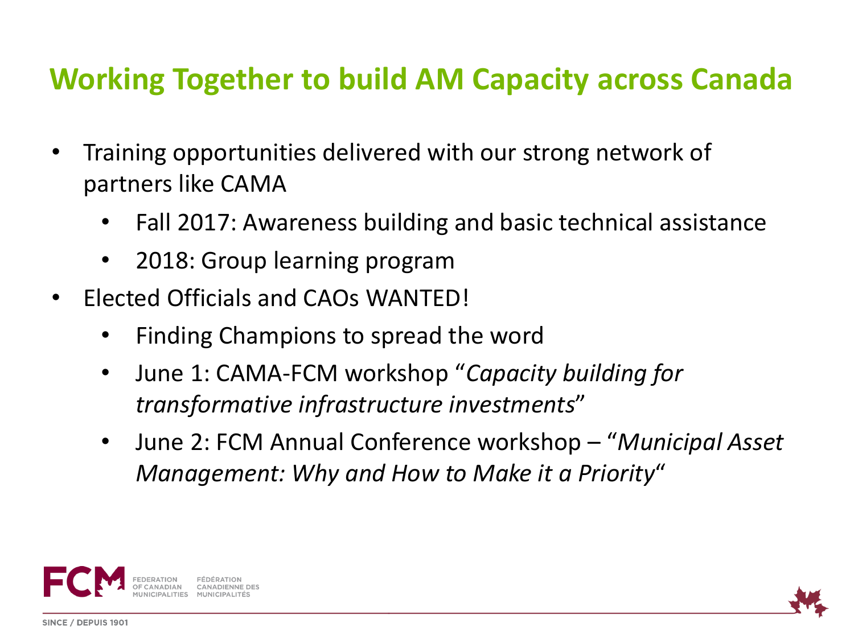### **Working Together to build AM Capacity across Canada**

- Training opportunities delivered with our strong network of partners like CAMA
	- Fall 2017: Awareness building and basic technical assistance
	- 2018: Group learning program
- Elected Officials and CAOs WANTED!
	- Finding Champions to spread the word
	- June 1: CAMA-FCM workshop "*Capacity building for transformative infrastructure investments*"
	- June 2: FCM Annual Conference workshop "*Municipal Asset Management: Why and How to Make it a Priority*"



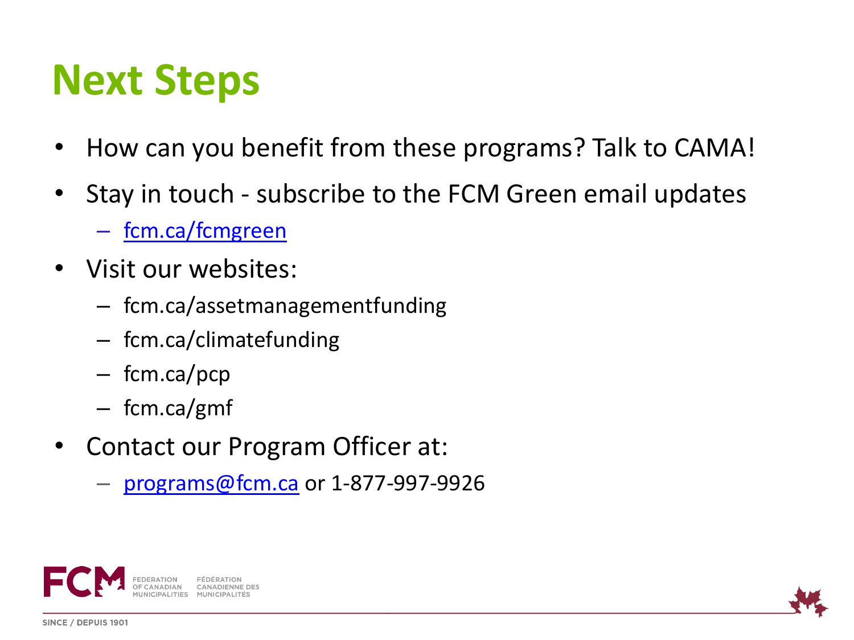# **Next Steps**

- How can you benefit from these programs? Talk to CAMA!
- Stay in touch subscribe to the FCM Green email updates
	- <fcm.ca/fcmgreen>
- Visit our websites:
	- fcm.ca/assetmanagementfunding
	- fcm.ca/climatefunding
	- fcm.ca/pcp
	- fcm.ca/gmf
- Contact our Program Officer at:
	- [programs@fcm.ca](mailto:programs@fcm.ca) or 1-877-997-9926